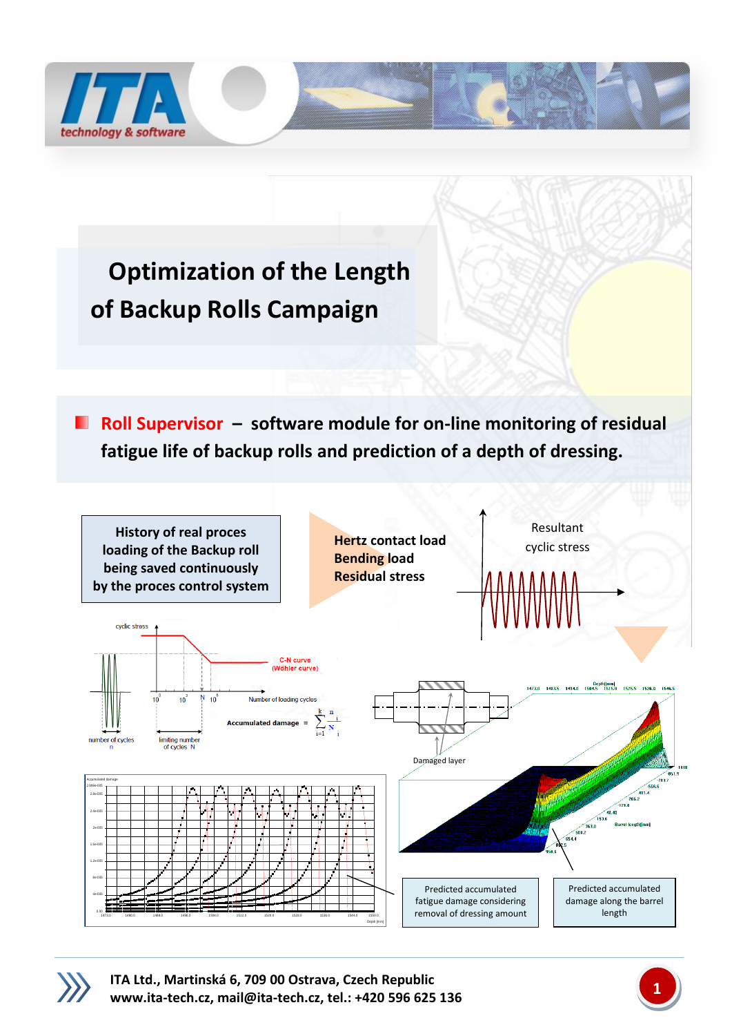

## **Optimization of the Length of Backup Rolls Campaign**

**Roll Supervisor –** software module for on-line monitoring of residual **fatigue life of backup rolls and prediction of a depth of dressing.**



**ITA Ltd., Martinská 6, 709 00 Ostrava, Czech Republic [www.ita-tech.cz,](http://www.ita-tech.cz/) [mail@ita-tech.cz,](mailto:mail@ita-tech.cz) tel.: +420 <sup>596</sup> 625 136 1**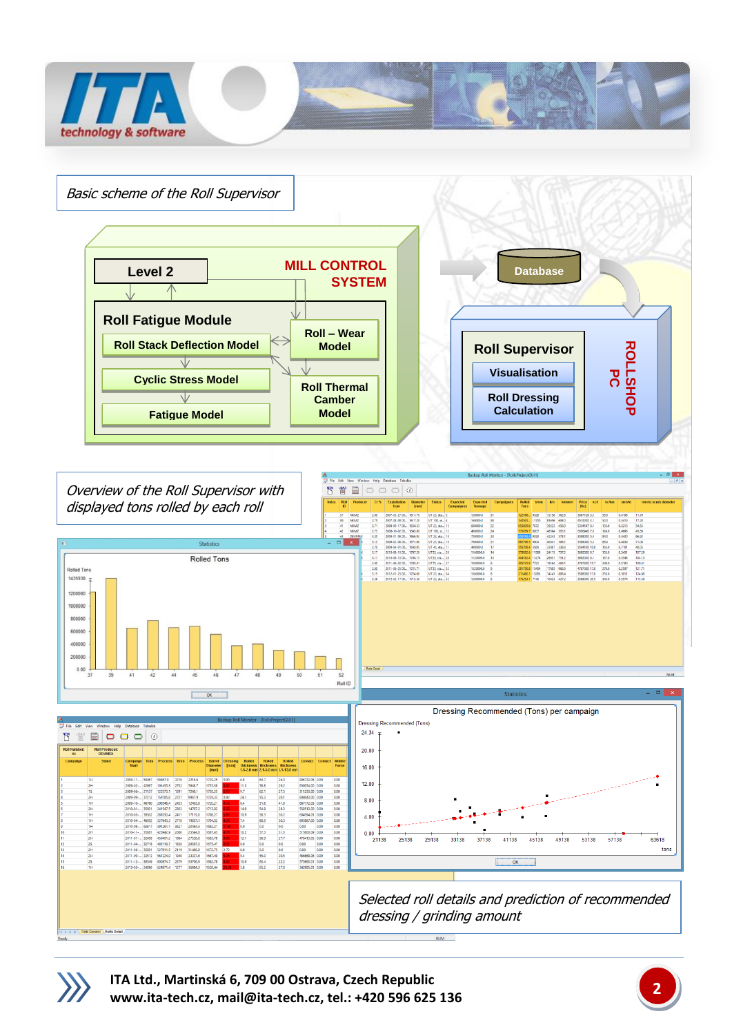

NUM

**EXECUTE: A Rolls General** A Rolls Detail